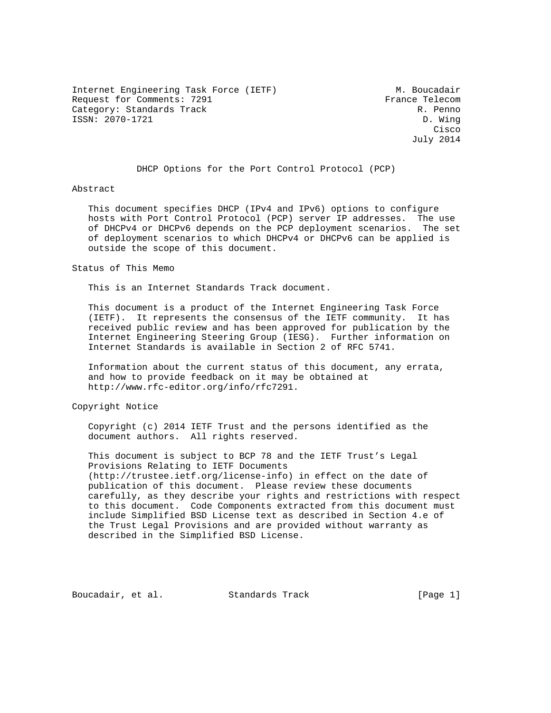Internet Engineering Task Force (IETF) M. Boucadair Request for Comments: 7291 France Telecom Category: Standards Track R. Penno ISSN: 2070-1721 D. Wing

**Cisco de la contrata de la contrata de la contrata de la contrata de la contrata de la contrata de la contrat** July 2014

DHCP Options for the Port Control Protocol (PCP)

### Abstract

 This document specifies DHCP (IPv4 and IPv6) options to configure hosts with Port Control Protocol (PCP) server IP addresses. The use of DHCPv4 or DHCPv6 depends on the PCP deployment scenarios. The set of deployment scenarios to which DHCPv4 or DHCPv6 can be applied is outside the scope of this document.

Status of This Memo

This is an Internet Standards Track document.

 This document is a product of the Internet Engineering Task Force (IETF). It represents the consensus of the IETF community. It has received public review and has been approved for publication by the Internet Engineering Steering Group (IESG). Further information on Internet Standards is available in Section 2 of RFC 5741.

 Information about the current status of this document, any errata, and how to provide feedback on it may be obtained at http://www.rfc-editor.org/info/rfc7291.

Copyright Notice

 Copyright (c) 2014 IETF Trust and the persons identified as the document authors. All rights reserved.

 This document is subject to BCP 78 and the IETF Trust's Legal Provisions Relating to IETF Documents (http://trustee.ietf.org/license-info) in effect on the date of publication of this document. Please review these documents carefully, as they describe your rights and restrictions with respect to this document. Code Components extracted from this document must include Simplified BSD License text as described in Section 4.e of the Trust Legal Provisions and are provided without warranty as described in the Simplified BSD License.

Boucadair, et al. Standards Track [Page 1]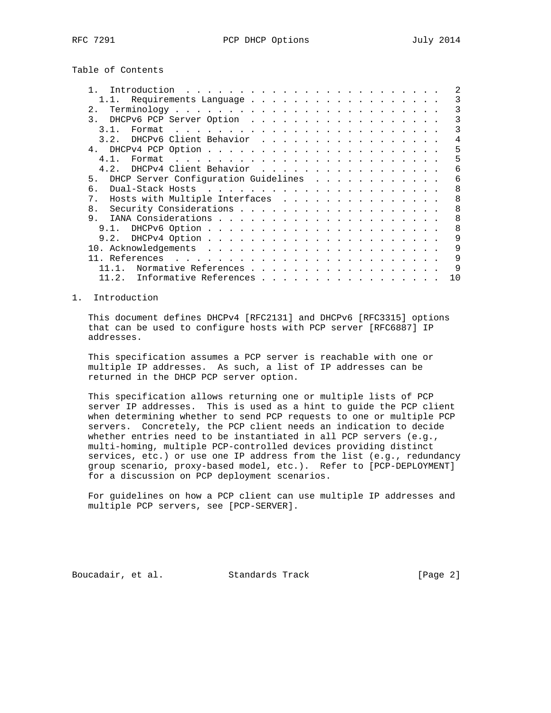Table of Contents

| Introduction                                                                                                                                                                                                                                  |   |
|-----------------------------------------------------------------------------------------------------------------------------------------------------------------------------------------------------------------------------------------------|---|
| 1.1. Requirements Language                                                                                                                                                                                                                    | 3 |
| $2$ .                                                                                                                                                                                                                                         |   |
| $\mathcal{R}$<br>DHCPv6 PCP Server Option                                                                                                                                                                                                     |   |
| . The contract of the contract of the contract of the contract of the contract of the contract of the contract of the contract of the contract of the contract of the contract of the contract of the contract of the contrac<br>31<br>Format |   |
| DHCPv6 Client Behavior<br>3.2.                                                                                                                                                                                                                | 4 |
| 4 <sub>1</sub>                                                                                                                                                                                                                                | 5 |
| 4 1                                                                                                                                                                                                                                           | 5 |
| DHCPv4 Client Behavior<br>4.2.                                                                                                                                                                                                                | 6 |
| DHCP Server Configuration Guidelines<br>5 <sub>1</sub>                                                                                                                                                                                        | 6 |
| 6                                                                                                                                                                                                                                             | 8 |
| Hosts with Multiple Interfaces<br>8<br>$7$ .                                                                                                                                                                                                  |   |
| 8<br>8 <sub>1</sub>                                                                                                                                                                                                                           |   |
| 9.<br>8                                                                                                                                                                                                                                       |   |
| 9.1.                                                                                                                                                                                                                                          | 8 |
| 9.2.                                                                                                                                                                                                                                          | 9 |
|                                                                                                                                                                                                                                               | 9 |
|                                                                                                                                                                                                                                               | 9 |
| Normative References                                                                                                                                                                                                                          |   |
| Informative References<br>10<br>11.2.                                                                                                                                                                                                         |   |

### 1. Introduction

 This document defines DHCPv4 [RFC2131] and DHCPv6 [RFC3315] options that can be used to configure hosts with PCP server [RFC6887] IP addresses.

 This specification assumes a PCP server is reachable with one or multiple IP addresses. As such, a list of IP addresses can be returned in the DHCP PCP server option.

 This specification allows returning one or multiple lists of PCP server IP addresses. This is used as a hint to guide the PCP client when determining whether to send PCP requests to one or multiple PCP servers. Concretely, the PCP client needs an indication to decide whether entries need to be instantiated in all PCP servers (e.g., multi-homing, multiple PCP-controlled devices providing distinct services, etc.) or use one IP address from the list (e.g., redundancy group scenario, proxy-based model, etc.). Refer to [PCP-DEPLOYMENT] for a discussion on PCP deployment scenarios.

 For guidelines on how a PCP client can use multiple IP addresses and multiple PCP servers, see [PCP-SERVER].

Boucadair, et al. Standards Track [Page 2]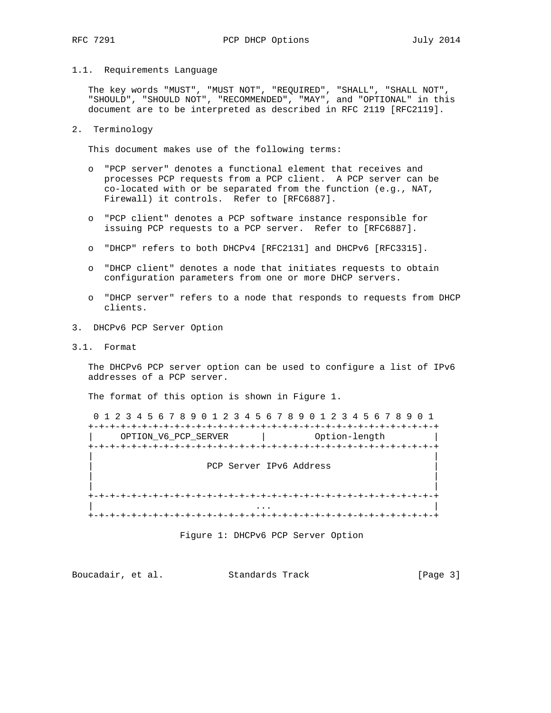#### 1.1. Requirements Language

 The key words "MUST", "MUST NOT", "REQUIRED", "SHALL", "SHALL NOT", "SHOULD", "SHOULD NOT", "RECOMMENDED", "MAY", and "OPTIONAL" in this document are to be interpreted as described in RFC 2119 [RFC2119].

#### 2. Terminology

This document makes use of the following terms:

- o "PCP server" denotes a functional element that receives and processes PCP requests from a PCP client. A PCP server can be co-located with or be separated from the function (e.g., NAT, Firewall) it controls. Refer to [RFC6887].
- o "PCP client" denotes a PCP software instance responsible for issuing PCP requests to a PCP server. Refer to [RFC6887].
- o "DHCP" refers to both DHCPv4 [RFC2131] and DHCPv6 [RFC3315].
- o "DHCP client" denotes a node that initiates requests to obtain configuration parameters from one or more DHCP servers.
- o "DHCP server" refers to a node that responds to requests from DHCP clients.
- 3. DHCPv6 PCP Server Option
- 3.1. Format

 The DHCPv6 PCP server option can be used to configure a list of IPv6 addresses of a PCP server.

The format of this option is shown in Figure 1.

|                         | 0 1 2 3 4 5 6 7 8 9 0 1 2 3 4 5 6 7 8 9 0 1 2 3 4 5 6 7 8 9 0 1 |  |  |  |  |  |
|-------------------------|-----------------------------------------------------------------|--|--|--|--|--|
| OPTION V6 PCP SERVER    | Option-length<br>the company of the company of                  |  |  |  |  |  |
|                         |                                                                 |  |  |  |  |  |
| PCP Server IPv6 Address |                                                                 |  |  |  |  |  |
|                         |                                                                 |  |  |  |  |  |
|                         |                                                                 |  |  |  |  |  |
|                         |                                                                 |  |  |  |  |  |

Figure 1: DHCPv6 PCP Server Option

| Boucadair, et al. | Standards Track | [Page 3] |  |
|-------------------|-----------------|----------|--|
|                   |                 |          |  |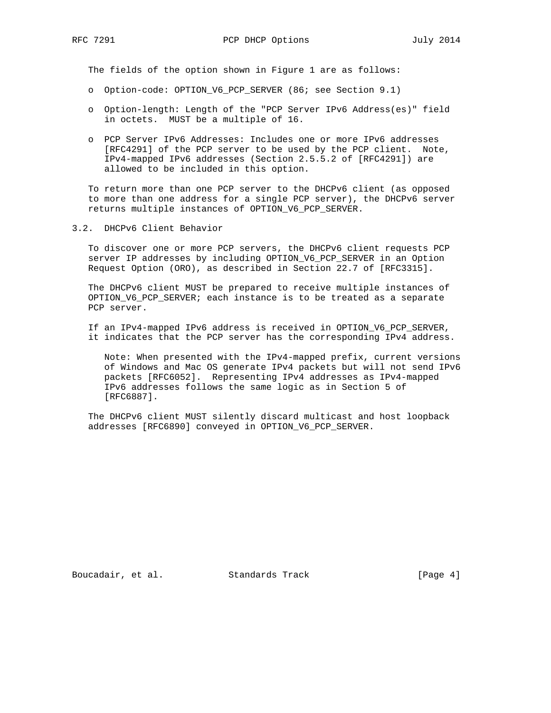The fields of the option shown in Figure 1 are as follows:

- o Option-code: OPTION\_V6\_PCP\_SERVER (86; see Section 9.1)
- o Option-length: Length of the "PCP Server IPv6 Address(es)" field in octets. MUST be a multiple of 16.
- o PCP Server IPv6 Addresses: Includes one or more IPv6 addresses [RFC4291] of the PCP server to be used by the PCP client. Note, IPv4-mapped IPv6 addresses (Section 2.5.5.2 of [RFC4291]) are allowed to be included in this option.

 To return more than one PCP server to the DHCPv6 client (as opposed to more than one address for a single PCP server), the DHCPv6 server returns multiple instances of OPTION\_V6\_PCP\_SERVER.

3.2. DHCPv6 Client Behavior

 To discover one or more PCP servers, the DHCPv6 client requests PCP server IP addresses by including OPTION\_V6\_PCP\_SERVER in an Option Request Option (ORO), as described in Section 22.7 of [RFC3315].

 The DHCPv6 client MUST be prepared to receive multiple instances of OPTION\_V6\_PCP\_SERVER; each instance is to be treated as a separate PCP server.

 If an IPv4-mapped IPv6 address is received in OPTION\_V6\_PCP\_SERVER, it indicates that the PCP server has the corresponding IPv4 address.

 Note: When presented with the IPv4-mapped prefix, current versions of Windows and Mac OS generate IPv4 packets but will not send IPv6 packets [RFC6052]. Representing IPv4 addresses as IPv4-mapped IPv6 addresses follows the same logic as in Section 5 of [RFC6887].

 The DHCPv6 client MUST silently discard multicast and host loopback addresses [RFC6890] conveyed in OPTION\_V6\_PCP\_SERVER.

Boucadair, et al. Standards Track [Page 4]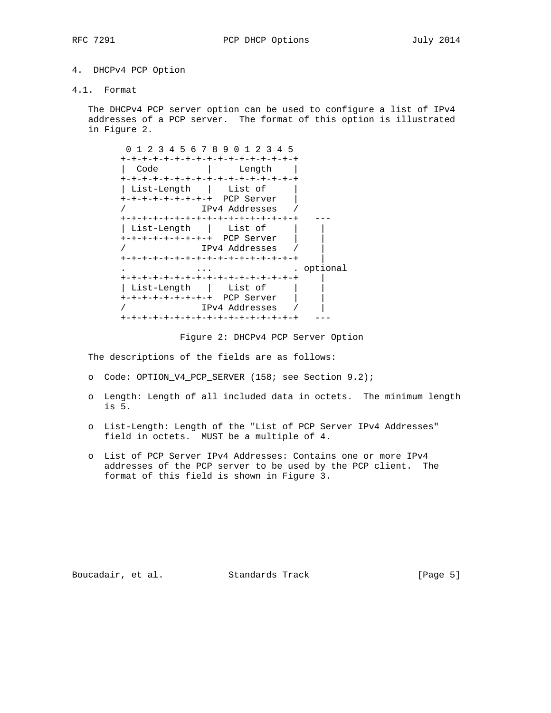## 4. DHCPv4 PCP Option

4.1. Format

 The DHCPv4 PCP server option can be used to configure a list of IPv4 addresses of a PCP server. The format of this option is illustrated in Figure 2.

| 0 1 2 3 4 5 6 7 8 9 0 1 2 3 4 5     |                |            |
|-------------------------------------|----------------|------------|
| +-+-+-+-+-+-+-+-+-+-+-+-+-+-+-+-+-+ |                |            |
| Code                                | Length         |            |
| +-+-+-+-+-+-+-+-+-+-+-+-+-+-+-+-+-+ |                |            |
| List-Length   List of               |                |            |
| +-+-+-+-+-+-+-+-+ PCP Server        |                |            |
|                                     | IPv4 Addresses |            |
| +-+-+-+-+-+-+-+-+-+-+-+-+-+-+-+-+-+ |                |            |
| List-Length   List of               |                |            |
| +-+-+-+-+-+-+-+-+ PCP Server        |                |            |
|                                     | TPv4 Addresses |            |
| +-+-+-+-+-+-+-+-+-+-+-+-+-+-+-+-+-+ |                |            |
|                                     |                | . optional |
| +-+-+-+-+-+-+-+-+-+-+-+-+-+-+-+-+-+ |                |            |
| List-Length   List of               |                |            |
| +-+-+-+-+-+-+-+-+ PCP Server        |                |            |
|                                     | IPv4 Addresses |            |
| +-+-+-+-+-+-+-+-+-+-+-+-+-+-+-+-+-+ |                |            |

Figure 2: DHCPv4 PCP Server Option

The descriptions of the fields are as follows:

- o Code: OPTION\_V4\_PCP\_SERVER (158; see Section 9.2);
- o Length: Length of all included data in octets. The minimum length is 5.
- o List-Length: Length of the "List of PCP Server IPv4 Addresses" field in octets. MUST be a multiple of 4.
- o List of PCP Server IPv4 Addresses: Contains one or more IPv4 addresses of the PCP server to be used by the PCP client. The format of this field is shown in Figure 3.

Boucadair, et al. Standards Track [Page 5]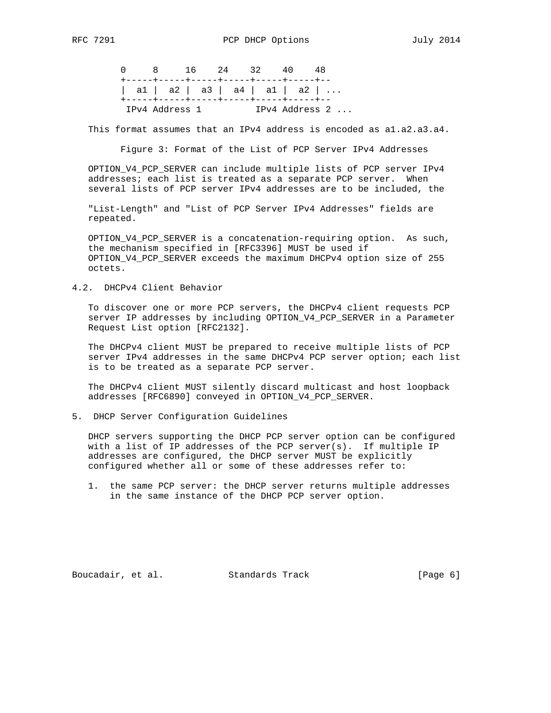|  |                | 0 8 16 24 32                                                                                                          | 40 | 48             |
|--|----------------|-----------------------------------------------------------------------------------------------------------------------|----|----------------|
|  |                | +-----+-----+-----+-----+-----+----+---<br>  a1   a2   a3   a4   a1   a2  <br>+-----+----+-----+-----+-----+---+----+ |    |                |
|  | IPv4 Address 1 |                                                                                                                       |    | IPv4 Address 2 |

This format assumes that an IPv4 address is encoded as a1.a2.a3.a4.

Figure 3: Format of the List of PCP Server IPv4 Addresses

 OPTION\_V4\_PCP\_SERVER can include multiple lists of PCP server IPv4 addresses; each list is treated as a separate PCP server. When several lists of PCP server IPv4 addresses are to be included, the

 "List-Length" and "List of PCP Server IPv4 Addresses" fields are repeated.

 OPTION\_V4\_PCP\_SERVER is a concatenation-requiring option. As such, the mechanism specified in [RFC3396] MUST be used if OPTION\_V4\_PCP\_SERVER exceeds the maximum DHCPv4 option size of 255 octets.

4.2. DHCPv4 Client Behavior

 To discover one or more PCP servers, the DHCPv4 client requests PCP server IP addresses by including OPTION\_V4\_PCP\_SERVER in a Parameter Request List option [RFC2132].

 The DHCPv4 client MUST be prepared to receive multiple lists of PCP server IPv4 addresses in the same DHCPv4 PCP server option; each list is to be treated as a separate PCP server.

 The DHCPv4 client MUST silently discard multicast and host loopback addresses [RFC6890] conveyed in OPTION\_V4\_PCP\_SERVER.

5. DHCP Server Configuration Guidelines

 DHCP servers supporting the DHCP PCP server option can be configured with a list of IP addresses of the PCP server(s). If multiple IP addresses are configured, the DHCP server MUST be explicitly configured whether all or some of these addresses refer to:

 1. the same PCP server: the DHCP server returns multiple addresses in the same instance of the DHCP PCP server option.

Boucadair, et al. Standards Track [Page 6]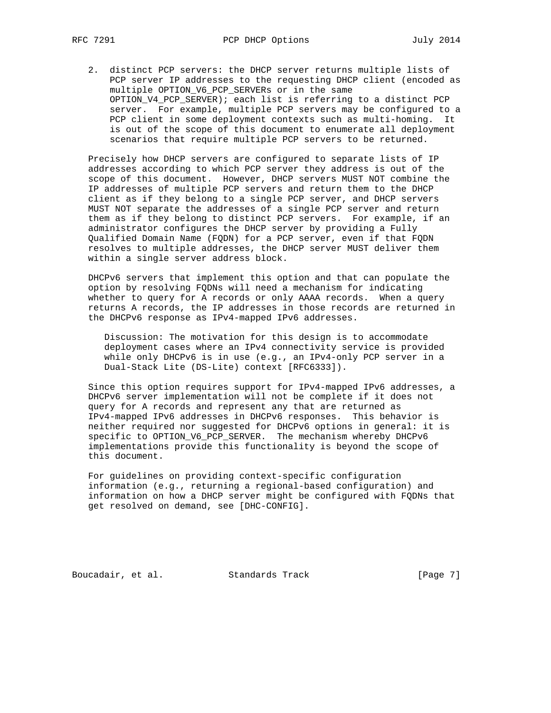2. distinct PCP servers: the DHCP server returns multiple lists of PCP server IP addresses to the requesting DHCP client (encoded as multiple OPTION\_V6\_PCP\_SERVERs or in the same OPTION V4 PCP SERVER); each list is referring to a distinct PCP server. For example, multiple PCP servers may be configured to a PCP client in some deployment contexts such as multi-homing. It is out of the scope of this document to enumerate all deployment scenarios that require multiple PCP servers to be returned.

 Precisely how DHCP servers are configured to separate lists of IP addresses according to which PCP server they address is out of the scope of this document. However, DHCP servers MUST NOT combine the IP addresses of multiple PCP servers and return them to the DHCP client as if they belong to a single PCP server, and DHCP servers MUST NOT separate the addresses of a single PCP server and return them as if they belong to distinct PCP servers. For example, if an administrator configures the DHCP server by providing a Fully Qualified Domain Name (FQDN) for a PCP server, even if that FQDN resolves to multiple addresses, the DHCP server MUST deliver them within a single server address block.

 DHCPv6 servers that implement this option and that can populate the option by resolving FQDNs will need a mechanism for indicating whether to query for A records or only AAAA records. When a query returns A records, the IP addresses in those records are returned in the DHCPv6 response as IPv4-mapped IPv6 addresses.

 Discussion: The motivation for this design is to accommodate deployment cases where an IPv4 connectivity service is provided while only DHCPv6 is in use (e.g., an IPv4-only PCP server in a Dual-Stack Lite (DS-Lite) context [RFC6333]).

 Since this option requires support for IPv4-mapped IPv6 addresses, a DHCPv6 server implementation will not be complete if it does not query for A records and represent any that are returned as IPv4-mapped IPv6 addresses in DHCPv6 responses. This behavior is neither required nor suggested for DHCPv6 options in general: it is specific to OPTION\_V6\_PCP\_SERVER. The mechanism whereby DHCPv6 implementations provide this functionality is beyond the scope of this document.

 For guidelines on providing context-specific configuration information (e.g., returning a regional-based configuration) and information on how a DHCP server might be configured with FQDNs that get resolved on demand, see [DHC-CONFIG].

Boucadair, et al. Standards Track [Page 7]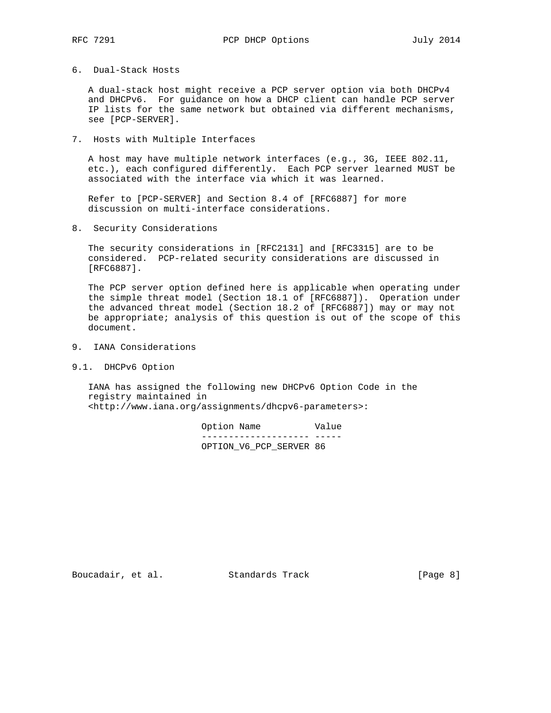6. Dual-Stack Hosts

 A dual-stack host might receive a PCP server option via both DHCPv4 and DHCPv6. For guidance on how a DHCP client can handle PCP server IP lists for the same network but obtained via different mechanisms, see [PCP-SERVER].

7. Hosts with Multiple Interfaces

 A host may have multiple network interfaces (e.g., 3G, IEEE 802.11, etc.), each configured differently. Each PCP server learned MUST be associated with the interface via which it was learned.

 Refer to [PCP-SERVER] and Section 8.4 of [RFC6887] for more discussion on multi-interface considerations.

8. Security Considerations

 The security considerations in [RFC2131] and [RFC3315] are to be considered. PCP-related security considerations are discussed in [RFC6887].

 The PCP server option defined here is applicable when operating under the simple threat model (Section 18.1 of [RFC6887]). Operation under the advanced threat model (Section 18.2 of [RFC6887]) may or may not be appropriate; analysis of this question is out of the scope of this document.

- 9. IANA Considerations
- 9.1. DHCPv6 Option

 IANA has assigned the following new DHCPv6 Option Code in the registry maintained in <http://www.iana.org/assignments/dhcpv6-parameters>:

| Option Name |  |                         | Value |
|-------------|--|-------------------------|-------|
|             |  |                         |       |
|             |  | OPTION V6 PCP SERVER 86 |       |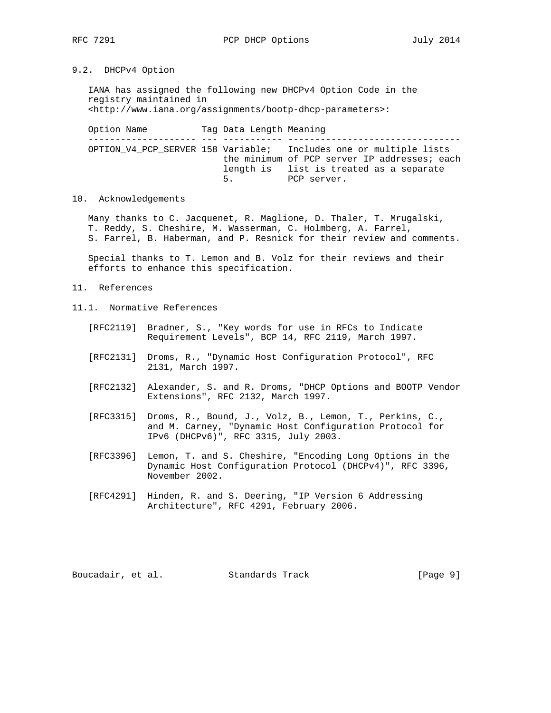# 9.2. DHCPv4 Option

 IANA has assigned the following new DHCPv4 Option Code in the registry maintained in <http://www.iana.org/assignments/bootp-dhcp-parameters>:

Option Name Tag Data Length Meaning -------------------- --- ----------- -------------------------------- OPTION\_V4\_PCP\_SERVER 158 Variable; Includes one or multiple lists the minimum of PCP server IP addresses; each length is list is treated as a separate 5. PCP server.

#### 10. Acknowledgements

 Many thanks to C. Jacquenet, R. Maglione, D. Thaler, T. Mrugalski, T. Reddy, S. Cheshire, M. Wasserman, C. Holmberg, A. Farrel, S. Farrel, B. Haberman, and P. Resnick for their review and comments.

 Special thanks to T. Lemon and B. Volz for their reviews and their efforts to enhance this specification.

- 11. References
- 11.1. Normative References
	- [RFC2119] Bradner, S., "Key words for use in RFCs to Indicate Requirement Levels", BCP 14, RFC 2119, March 1997.
	- [RFC2131] Droms, R., "Dynamic Host Configuration Protocol", RFC 2131, March 1997.
	- [RFC2132] Alexander, S. and R. Droms, "DHCP Options and BOOTP Vendor Extensions", RFC 2132, March 1997.
	- [RFC3315] Droms, R., Bound, J., Volz, B., Lemon, T., Perkins, C., and M. Carney, "Dynamic Host Configuration Protocol for IPv6 (DHCPv6)", RFC 3315, July 2003.
	- [RFC3396] Lemon, T. and S. Cheshire, "Encoding Long Options in the Dynamic Host Configuration Protocol (DHCPv4)", RFC 3396, November 2002.
	- [RFC4291] Hinden, R. and S. Deering, "IP Version 6 Addressing Architecture", RFC 4291, February 2006.

Boucadair, et al. Standards Track [Page 9]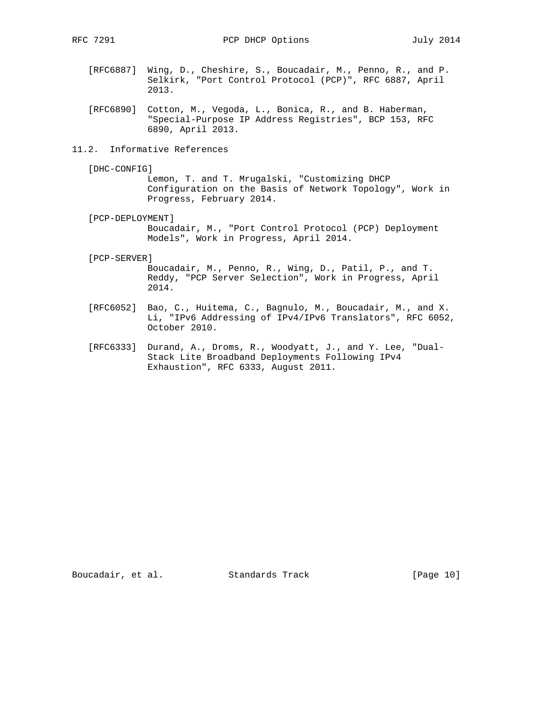- [RFC6887] Wing, D., Cheshire, S., Boucadair, M., Penno, R., and P. Selkirk, "Port Control Protocol (PCP)", RFC 6887, April 2013.
- [RFC6890] Cotton, M., Vegoda, L., Bonica, R., and B. Haberman, "Special-Purpose IP Address Registries", BCP 153, RFC 6890, April 2013.
- 11.2. Informative References
	- [DHC-CONFIG]

 Lemon, T. and T. Mrugalski, "Customizing DHCP Configuration on the Basis of Network Topology", Work in Progress, February 2014.

[PCP-DEPLOYMENT]

 Boucadair, M., "Port Control Protocol (PCP) Deployment Models", Work in Progress, April 2014.

[PCP-SERVER]

 Boucadair, M., Penno, R., Wing, D., Patil, P., and T. Reddy, "PCP Server Selection", Work in Progress, April 2014.

- [RFC6052] Bao, C., Huitema, C., Bagnulo, M., Boucadair, M., and X. Li, "IPv6 Addressing of IPv4/IPv6 Translators", RFC 6052, October 2010.
- [RFC6333] Durand, A., Droms, R., Woodyatt, J., and Y. Lee, "Dual- Stack Lite Broadband Deployments Following IPv4 Exhaustion", RFC 6333, August 2011.

Boucadair, et al. Standards Track [Page 10]